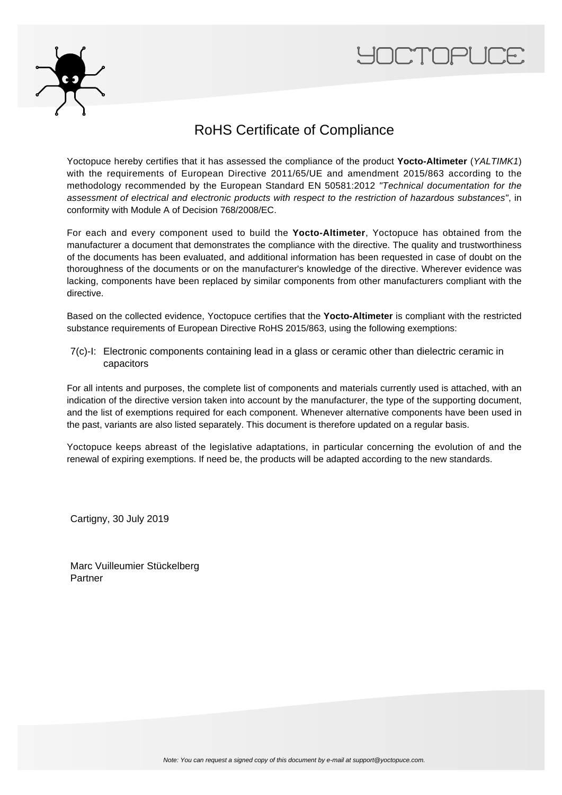



## RoHS Certificate of Compliance

Yoctopuce hereby certifies that it has assessed the compliance of the product **Yocto-Altimeter** (YALTIMK1) with the requirements of European Directive 2011/65/UE and amendment 2015/863 according to the methodology recommended by the European Standard EN 50581:2012 "Technical documentation for the assessment of electrical and electronic products with respect to the restriction of hazardous substances", in conformity with Module A of Decision 768/2008/EC.

For each and every component used to build the **Yocto-Altimeter**, Yoctopuce has obtained from the manufacturer a document that demonstrates the compliance with the directive. The quality and trustworthiness of the documents has been evaluated, and additional information has been requested in case of doubt on the thoroughness of the documents or on the manufacturer's knowledge of the directive. Wherever evidence was lacking, components have been replaced by similar components from other manufacturers compliant with the directive.

Based on the collected evidence, Yoctopuce certifies that the **Yocto-Altimeter** is compliant with the restricted substance requirements of European Directive RoHS 2015/863, using the following exemptions:

7(c)-I: Electronic components containing lead in a glass or ceramic other than dielectric ceramic in capacitors

For all intents and purposes, the complete list of components and materials currently used is attached, with an indication of the directive version taken into account by the manufacturer, the type of the supporting document, and the list of exemptions required for each component. Whenever alternative components have been used in the past, variants are also listed separately. This document is therefore updated on a regular basis.

Yoctopuce keeps abreast of the legislative adaptations, in particular concerning the evolution of and the renewal of expiring exemptions. If need be, the products will be adapted according to the new standards.

Cartigny, 30 July 2019

Marc Vuilleumier Stückelberg Partner